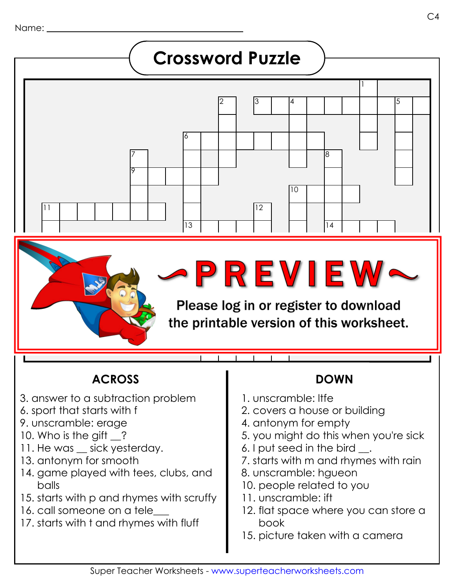

## **ACROSS DOWN**

- 3. answer to a subtraction problem
- 6. sport that starts with f
- 9. unscramble: erage
- 10. Who is the gift \_?
- 11. He was \_\_ sick yesterday.
- 13. antonym for smooth
- 14. game played with tees, clubs, and balls
- 15. starts with p and rhymes with scruffy
- 16. call someone on a tele
- 17. starts with t and rhymes with fluff

1. unscramble: ltfe

111111

- 2. covers a house or building
- 4. antonym for empty
- 5. you might do this when you're sick
- 6. I put seed in the bird \_\_.
- 7. starts with m and rhymes with rain
- 8. unscramble: hgueon
- 10. people related to you
- 11. unscramble: ift
- 12. flat space where you can store a book
- 15. picture taken with a camera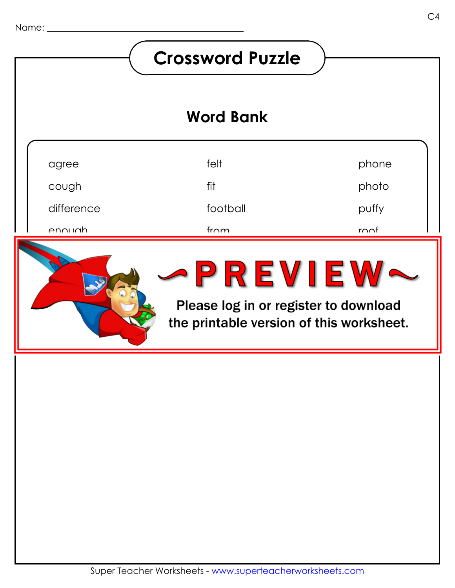## **Crossword Puzzle Word Bank**agree felt phone cough fit photo football difference puffy  $r \cap \cap f$ enough from family feeder ZREVIEW feeling main ann an dàtairte deirealach the printable version of this worksheet.